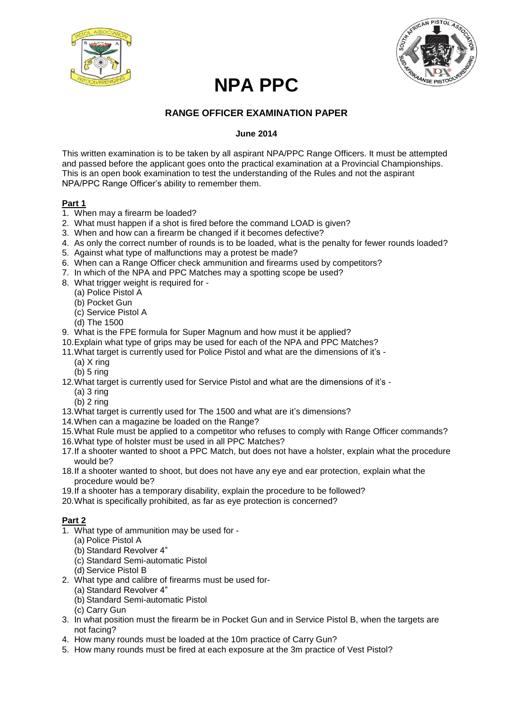



# **NPA PPC**

## **RANGE OFFICER EXAMINATION PAPER**

#### **June 2014**

This written examination is to be taken by all aspirant NPA/PPC Range Officers. It must be attempted and passed before the applicant goes onto the practical examination at a Provincial Championships. This is an open book examination to test the understanding of the Rules and not the aspirant NPA/PPC Range Officer's ability to remember them.

#### **Part 1**

- 1. When may a firearm be loaded?
- 2. What must happen if a shot is fired before the command LOAD is given?
- 3. When and how can a firearm be changed if it becomes defective?
- 4. As only the correct number of rounds is to be loaded, what is the penalty for fewer rounds loaded?
- 5. Against what type of malfunctions may a protest be made?
- 6. When can a Range Officer check ammunition and firearms used by competitors?
- 7. In which of the NPA and PPC Matches may a spotting scope be used?
- 8. What trigger weight is required for
	- (a) Police Pistol A
	- (b) Pocket Gun
	- (c) Service Pistol A
	- (d) The 1500
- 9. What is the FPE formula for Super Magnum and how must it be applied?
- 10.Explain what type of grips may be used for each of the NPA and PPC Matches?
- 11.What target is currently used for Police Pistol and what are the dimensions of it's
	- (a) X ring
	- (b) 5 ring
- 12.What target is currently used for Service Pistol and what are the dimensions of it's
	- $(a)$  3 ring
	- (b) 2 ring
- 13.What target is currently used for The 1500 and what are it's dimensions?
- 14.When can a magazine be loaded on the Range?
- 15.What Rule must be applied to a competitor who refuses to comply with Range Officer commands?
- 16.What type of holster must be used in all PPC Matches?
- 17.If a shooter wanted to shoot a PPC Match, but does not have a holster, explain what the procedure would be?
- 18.If a shooter wanted to shoot, but does not have any eye and ear protection, explain what the procedure would be?
- 19.If a shooter has a temporary disability, explain the procedure to be followed?
- 20.What is specifically prohibited, as far as eye protection is concerned?

#### **Part 2**

- 1. What type of ammunition may be used for
	- (a) Police Pistol A
	- (b) Standard Revolver 4"
	- (c) Standard Semi-automatic Pistol
	- (d) Service Pistol B
- 2. What type and calibre of firearms must be used for-
	- (a) Standard Revolver 4"
	- (b) Standard Semi-automatic Pistol
	- (c) Carry Gun
- 3. In what position must the firearm be in Pocket Gun and in Service Pistol B, when the targets are not facing?
- 4. How many rounds must be loaded at the 10m practice of Carry Gun?
- 5. How many rounds must be fired at each exposure at the 3m practice of Vest Pistol?